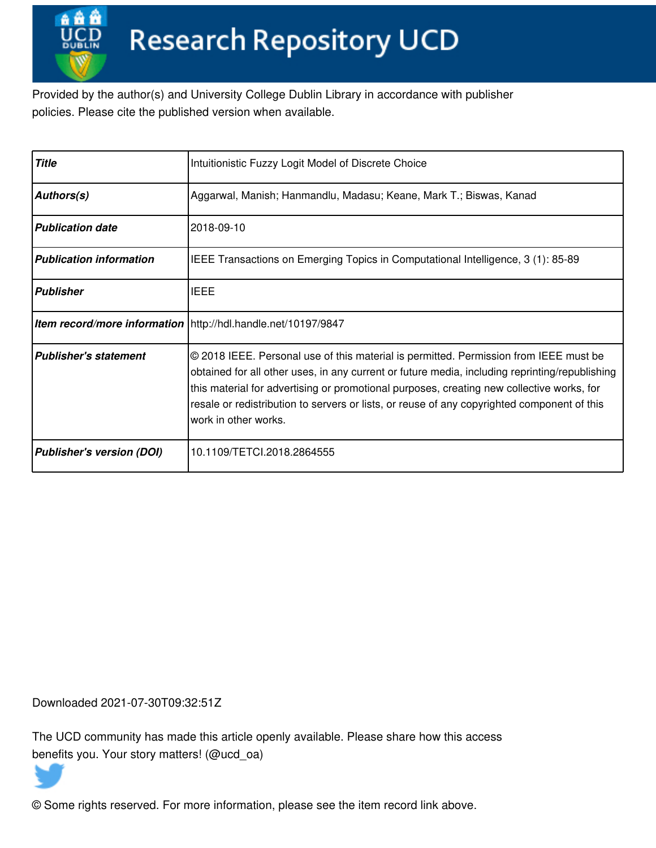Provided by the author(s) and University College Dublin Library in accordance with publisher policies. Please cite the published version when available.

| <b>Title</b>                     | Intuitionistic Fuzzy Logit Model of Discrete Choice                                                                                                                                                                                                                                                                                                                                                         |  |  |
|----------------------------------|-------------------------------------------------------------------------------------------------------------------------------------------------------------------------------------------------------------------------------------------------------------------------------------------------------------------------------------------------------------------------------------------------------------|--|--|
| Authors(s)                       | Aggarwal, Manish; Hanmandlu, Madasu; Keane, Mark T.; Biswas, Kanad                                                                                                                                                                                                                                                                                                                                          |  |  |
| <b>Publication date</b>          | 2018-09-10                                                                                                                                                                                                                                                                                                                                                                                                  |  |  |
| <b>Publication information</b>   | IEEE Transactions on Emerging Topics in Computational Intelligence, 3 (1): 85-89                                                                                                                                                                                                                                                                                                                            |  |  |
| <b>Publisher</b>                 | <b>IEEE</b>                                                                                                                                                                                                                                                                                                                                                                                                 |  |  |
|                                  | Item record/more information   http://hdl.handle.net/10197/9847                                                                                                                                                                                                                                                                                                                                             |  |  |
| <b>Publisher's statement</b>     | © 2018 IEEE. Personal use of this material is permitted. Permission from IEEE must be<br>obtained for all other uses, in any current or future media, including reprinting/republishing<br>this material for advertising or promotional purposes, creating new collective works, for<br>resale or redistribution to servers or lists, or reuse of any copyrighted component of this<br>work in other works. |  |  |
| <b>Publisher's version (DOI)</b> | 10.1109/TETCI.2018.2864555                                                                                                                                                                                                                                                                                                                                                                                  |  |  |

Downloaded 2021-07-30T09:32:51Z

The UCD community has made this article openly available. Please share how this access benefits you. Your story matters! (@ucd\_oa)



© Some rights reserved. For more information, please see the item record link above.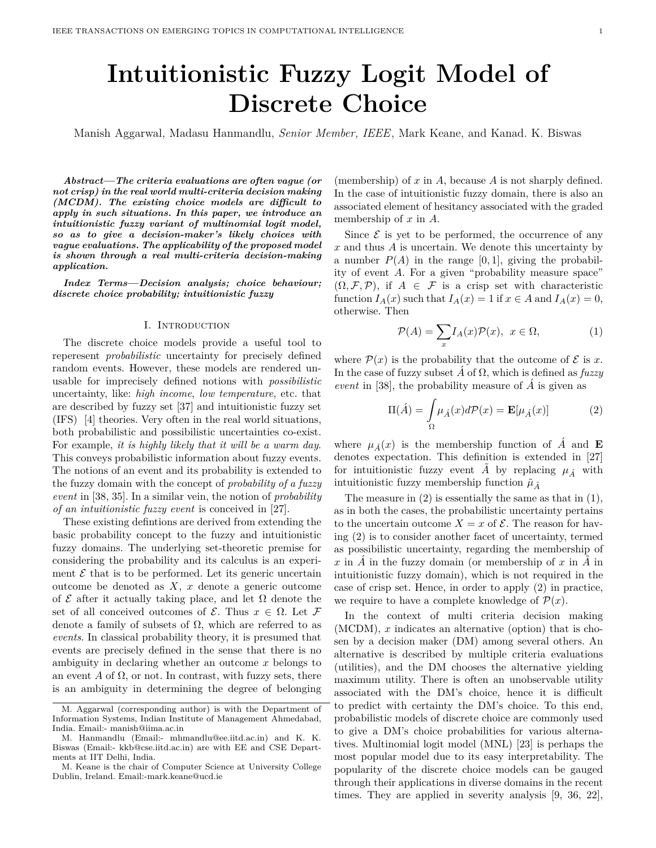# **Intuitionistic Fuzzy Logit Model of Discrete Choice**

Manish Aggarwal, Madasu Hanmandlu, *Senior Member, IEEE*, Mark Keane, and Kanad. K. Biswas

*Abstract***—***The criteria evaluations are often vague (or not crisp) in the real world multi-criteria decision making (MCDM). The existing choice models are difficult to apply in such situations. In this paper, we introduce an intuitionistic fuzzy variant of multinomial logit model, so as to give a decision-maker's likely choices with vague evaluations. The applicability of the proposed model is shown through a real multi-criteria decision-making application.*

*Index Terms***—***Decision analysis; choice behaviour; discrete choice probability; intuitionistic fuzzy*

# I. Introduction

The discrete choice models provide a useful tool to reperesent *probabilistic* uncertainty for precisely defined random events. However, these models are rendered unusable for imprecisely defined notions with *possibilistic* uncertainty, like: *high income*, *low temperature*, etc. that are described by fuzzy set [37] and intuitionistic fuzzy set (IFS) [4] theories. Very often in the real world situations, both probabilistic and possibilistic uncertainties co-exist. For example, *it is highly likely that it will be a warm day*. This conveys probabilistic information about fuzzy events. The notions of an event and its probability is extended to the fuzzy domain with the concept of *probability of a fuzzy event* in [38, 35]. In a similar vein, the notion of *probability of an intuitionistic fuzzy event* is conceived in [27].

These existing defintions are derived from extending the basic probability concept to the fuzzy and intuitionistic fuzzy domains. The underlying set-theoretic premise for considering the probability and its calculus is an experiment  $\mathcal E$  that is to be performed. Let its generic uncertain outcome be denoted as *X*, *x* denote a generic outcome of  $\mathcal E$  after it actually taking place, and let  $\Omega$  denote the set of all conceived outcomes of  $\mathcal{E}$ . Thus  $x \in \Omega$ . Let  $\mathcal{F}$ denote a family of subsets of  $\Omega$ , which are referred to as *events*. In classical probability theory, it is presumed that events are precisely defined in the sense that there is no ambiguity in declaring whether an outcome *x* belongs to an event  $A$  of  $\Omega$ , or not. In contrast, with fuzzy sets, there is an ambiguity in determining the degree of belonging

(membership) of *x* in *A*, because *A* is not sharply defined. In the case of intuitionistic fuzzy domain, there is also an associated element of hesitancy associated with the graded membership of *x* in *A*.

Since  $\mathcal E$  is yet to be performed, the occurrence of any *x* and thus *A* is uncertain. We denote this uncertainty by a number  $P(A)$  in the range [0, 1], giving the probability of event *A*. For a given "probability measure space"  $(\Omega, \mathcal{F}, \mathcal{P})$ , if  $A \in \mathcal{F}$  is a crisp set with characteristic function  $I_A(x)$  such that  $I_A(x) = 1$  if  $x \in A$  and  $I_A(x) = 0$ , otherwise. Then

$$
\mathcal{P}(A) = \sum_{x} I_A(x)\mathcal{P}(x), \ x \in \Omega,\tag{1}
$$

where  $\mathcal{P}(x)$  is the probability that the outcome of  $\mathcal{E}$  is x. In the case of fuzzy subset  $\vec{A}$  of  $\Omega$ , which is defined as *fuzzy event* in [38], the probability measure of  $\vec{A}$  is given as

$$
\Pi(\hat{A}) = \int_{\Omega} \mu_{\hat{A}}(x) d\mathcal{P}(x) = \mathbf{E}[\mu_{\hat{A}}(x)] \tag{2}
$$

where  $\mu_{\hat{A}}(x)$  is the membership function of  $\hat{A}$  and **E** denotes expectation. This definition is extended in [27] for intuitionistic fuzzy event  $\tilde{A}$  by replacing  $\mu_{\tilde{A}}$  with intuitionistic fuzzy membership function  $\tilde{\mu}_{\tilde{A}}$ 

The measure in (2) is essentially the same as that in (1), as in both the cases, the probabilistic uncertainty pertains to the uncertain outcome  $X = x$  of  $\mathcal{E}$ . The reason for having (2) is to consider another facet of uncertainty, termed as possibilistic uncertainty, regarding the membership of  $x$  in  $\overline{A}$  in the fuzzy domain (or membership of  $x$  in  $\overline{A}$  in intuitionistic fuzzy domain), which is not required in the case of crisp set. Hence, in order to apply (2) in practice, we require to have a complete knowledge of  $\mathcal{P}(x)$ .

In the context of multi criteria decision making (MCDM), *x* indicates an alternative (option) that is chosen by a decision maker (DM) among several others. An alternative is described by multiple criteria evaluations (utilities), and the DM chooses the alternative yielding maximum utility. There is often an unobservable utility associated with the DM's choice, hence it is difficult to predict with certainty the DM's choice. To this end, probabilistic models of discrete choice are commonly used to give a DM's choice probabilities for various alternatives. Multinomial logit model (MNL) [23] is perhaps the most popular model due to its easy interpretability. The popularity of the discrete choice models can be gauged through their applications in diverse domains in the recent times. They are applied in severity analysis [9, 36, 22],

M. Aggarwal (corresponding author) is with the Department of Information Systems, Indian Institute of Management Ahmedabad, India. Email:- manish@iima.ac.in

M. Hanmandlu (Email:- mhmandlu@ee.iitd.ac.in) and K. K. Biswas (Email:- kkb@cse.iitd.ac.in) are with EE and CSE Departments at IIT Delhi, India.

M. Keane is the chair of Computer Science at University College Dublin, Ireland. Email:-mark.keane@ucd.ie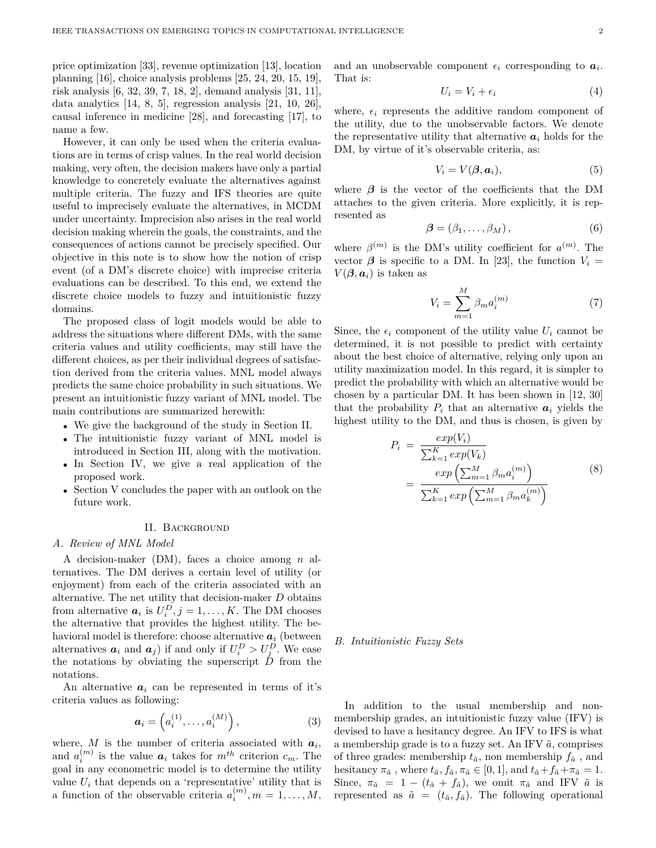price optimization [33], revenue optimization [13], location planning [16], choice analysis problems [25, 24, 20, 15, 19], risk analysis [6, 32, 39, 7, 18, 2], demand analysis [31, 11], data analytics  $[14, 8, 5]$ , regression analysis  $[21, 10, 26]$ , causal inference in medicine [28], and forecasting [17], to name a few.

However, it can only be used when the criteria evaluations are in terms of crisp values. In the real world decision making, very often, the decision makers have only a partial knowledge to concretely evaluate the alternatives against multiple criteria. The fuzzy and IFS theories are quite useful to imprecisely evaluate the alternatives, in MCDM under uncertainty. Imprecision also arises in the real world decision making wherein the goals, the constraints, and the consequences of actions cannot be precisely specified. Our objective in this note is to show how the notion of crisp event (of a DM's discrete choice) with imprecise criteria evaluations can be described. To this end, we extend the discrete choice models to fuzzy and intuitionistic fuzzy domains.

The proposed class of logit models would be able to address the situations where different DMs, with the same criteria values and utility coefficients, may still have the different choices, as per their individual degrees of satisfaction derived from the criteria values. MNL model always predicts the same choice probability in such situations. We present an intuitionistic fuzzy variant of MNL model. Tbe main contributions are summarized herewith:

- We give the background of the study in Section II.
- The intuitionistic fuzzy variant of MNL model is introduced in Section III, along with the motivation.
- In Section IV, we give a real application of the proposed work.
- Section V concludes the paper with an outlook on the future work.

#### II. Background

# *A. Review of MNL Model*

A decision-maker (DM), faces a choice among *n* alternatives. The DM derives a certain level of utility (or enjoyment) from each of the criteria associated with an alternative. The net utility that decision-maker *D* obtains from alternative  $a_i$  is  $U_i^D$ ,  $j = 1, ..., K$ . The DM chooses the alternative that provides the highest utility. The behavioral model is therefore: choose alternative  $a_i$  (between alternatives  $a_i$  and  $a_j$ ) if and only if  $U_i^D > U_j^D$ . We ease the notations by obviating the superscript  $\ddot{D}$  from the notations.

An alternative  $a_i$  can be represented in terms of it's criteria values as following:

$$
\boldsymbol{a}_i = \left(a_i^{(1)}, \dots, a_i^{(M)}\right),\tag{3}
$$

where,  $M$  is the number of criteria associated with  $a_i$ , and  $a_i^{(m)}$  is the value  $a_i$  takes for  $m^{th}$  criterion  $c_m$ . The goal in any econometric model is to determine the utility value  $U_i$  that depends on a 'representative' utility that is a function of the observable criteria  $a_i^{(m)}$ ,  $m = 1, \ldots, M$ ,

and an unobservable component  $\epsilon_i$  corresponding to  $a_i$ . That is:

$$
U_i = V_i + \epsilon_i \tag{4}
$$

where,  $\epsilon_i$  represents the additive random component of the utility, due to the unobservable factors. We denote the representative utility that alternative  $a_i$  holds for the DM, by virtue of it's observable criteria, as:

$$
V_i = V(\boldsymbol{\beta}, \boldsymbol{a}_i), \tag{5}
$$

where  $\beta$  is the vector of the coefficients that the DM attaches to the given criteria. More explicitly, it is represented as

$$
\boldsymbol{\beta} = (\beta_1, \dots, \beta_M), \tag{6}
$$

where  $\beta^{(m)}$  is the DM's utility coefficient for  $a^{(m)}$ . The vector  $\beta$  is specific to a DM. In [23], the function  $V_i =$  $V(\boldsymbol{\beta}, \boldsymbol{a}_i)$  is taken as

$$
V_i = \sum_{m=1}^{M} \beta_m a_i^{(m)} \tag{7}
$$

Since, the  $\epsilon_i$  component of the utility value  $U_i$  cannot be determined, it is not possible to predict with certainty about the best choice of alternative, relying only upon an utility maximization model. In this regard, it is simpler to predict the probability with which an alternative would be chosen by a particular DM. It has been shown in [12, 30] that the probability  $P_i$  that an alternative  $a_i$  yields the highest utility to the DM, and thus is chosen, is given by

$$
P_i = \frac{exp(V_i)}{\sum_{k=1}^{K} exp(V_k)}
$$
  
= 
$$
\frac{exp\left(\sum_{m=1}^{M} \beta_m a_i^{(m)}\right)}{\sum_{k=1}^{K} exp\left(\sum_{m=1}^{M} \beta_m a_k^{(m)}\right)}
$$
 (8)

*B. Intuitionistic Fuzzy Sets*

In addition to the usual membership and nonmembership grades, an intuitionistic fuzzy value (IFV) is devised to have a hesitancy degree. An IFV to IFS is what a membership grade is to a fuzzy set. An IFV  $\tilde{a}$ , comprises of three grades: membership  $t_{\tilde{a}}$ , non membership  $f_{\tilde{a}}$ , and hesitancy  $\pi_{\tilde{a}}$ , where  $t_{\tilde{a}}$ ,  $f_{\tilde{a}}$ ,  $\pi_{\tilde{a}} \in [0,1]$ , and  $t_{\tilde{a}} + f_{\tilde{a}} + \pi_{\tilde{a}} = 1$ . Since,  $\pi_{\tilde{a}} = 1 - (t_{\tilde{a}} + f_{\tilde{a}})$ , we omit  $\pi_{\tilde{a}}$  and IFV  $\tilde{a}$  is represented as  $\tilde{a} = (t_{\tilde{a}}, f_{\tilde{a}})$ . The following operational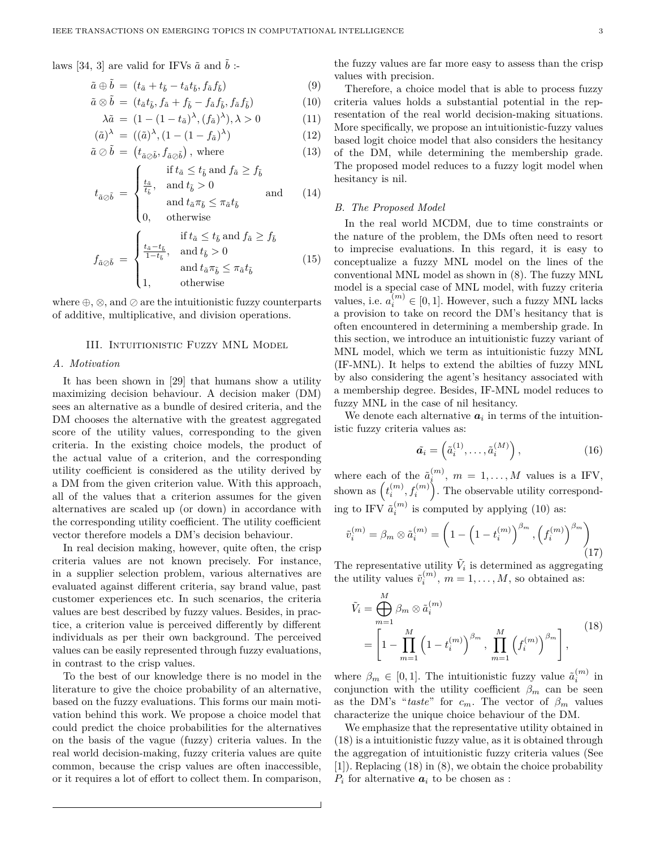laws [34, 3] are valid for IFVs  $\tilde{a}$  and  $\tilde{b}$  :-

$$
\tilde{a} \oplus \tilde{b} = (t_{\tilde{a}} + t_{\tilde{b}} - t_{\tilde{a}}t_{\tilde{b}}, f_{\tilde{a}}f_{\tilde{b}})
$$
\n(9)

$$
\tilde{a}\otimes \tilde{b} = (t_{\tilde{a}}t_{\tilde{b}}, f_{\tilde{a}} + f_{\tilde{b}} - f_{\tilde{a}}f_{\tilde{b}}, f_{\tilde{a}}f_{\tilde{b}})
$$
\n(10)

$$
\lambda \tilde{a} = (1 - (1 - t_{\tilde{a}})^{\lambda}, (f_{\tilde{a}})^{\lambda}), \lambda > 0 \tag{11}
$$

$$
(\tilde{a})^{\lambda} = ((\tilde{a})^{\lambda}, (1 - (1 - f_{\tilde{a}})^{\lambda}) \tag{12}
$$

$$
\tilde{a} \oslash \tilde{b} = (t_{\tilde{a}\oslash \tilde{b}}, f_{\tilde{a}\oslash \tilde{b}}), \text{ where } (13)
$$

$$
t_{\tilde{a}\odot\tilde{b}} = \begin{cases} \text{if } t_{\tilde{a}} \leq t_{\tilde{b}} \text{ and } f_{\tilde{a}} \geq f_{\tilde{b}} \\ \frac{t_{\tilde{a}}}{t_{\tilde{b}}}, & \text{and } t_{\tilde{b}} > 0 \\ \text{and } t_{\tilde{a}}\pi_{\tilde{b}} \leq \pi_{\tilde{a}}t_{\tilde{b}} \end{cases} \text{ and } (14)
$$

 $\{0,$ 0*,* otherwise

$$
f_{\tilde{a}\odot\tilde{b}} = \begin{cases} \text{if } t_{\tilde{a}} \le t_{\tilde{b}} \text{ and } f_{\tilde{a}} \ge f_{\tilde{b}} \\ \frac{t_{\tilde{a}} - t_{\tilde{b}}}{1 - t_{\tilde{b}}}, & \text{and } t_{\tilde{b}} > 0 \\ \text{and } t_{\tilde{a}} \pi_{\tilde{b}} \le \pi_{\tilde{a}} t_{\tilde{b}} \\ 1, & \text{otherwise} \end{cases}
$$
(15)

where  $\oplus$ ,  $\otimes$ , and  $\oslash$  are the intuitionistic fuzzy counterparts of additive, multiplicative, and division operations.

#### III. Intuitionistic Fuzzy MNL Model

# *A. Motivation*

It has been shown in [29] that humans show a utility maximizing decision behaviour. A decision maker (DM) sees an alternative as a bundle of desired criteria, and the DM chooses the alternative with the greatest aggregated score of the utility values, corresponding to the given criteria. In the existing choice models, the product of the actual value of a criterion, and the corresponding utility coefficient is considered as the utility derived by a DM from the given criterion value. With this approach, all of the values that a criterion assumes for the given alternatives are scaled up (or down) in accordance with the corresponding utility coefficient. The utility coefficient vector therefore models a DM's decision behaviour.

In real decision making, however, quite often, the crisp criteria values are not known precisely. For instance, in a supplier selection problem, various alternatives are evaluated against different criteria, say brand value, past customer experiences etc. In such scenarios, the criteria values are best described by fuzzy values. Besides, in practice, a criterion value is perceived differently by different individuals as per their own background. The perceived values can be easily represented through fuzzy evaluations, in contrast to the crisp values.

To the best of our knowledge there is no model in the literature to give the choice probability of an alternative, based on the fuzzy evaluations. This forms our main motivation behind this work. We propose a choice model that could predict the choice probabilities for the alternatives on the basis of the vague (fuzzy) criteria values. In the real world decision-making, fuzzy criteria values are quite common, because the crisp values are often inaccessible, or it requires a lot of effort to collect them. In comparison, the fuzzy values are far more easy to assess than the crisp values with precision.

Therefore, a choice model that is able to process fuzzy criteria values holds a substantial potential in the representation of the real world decision-making situations. More specifically, we propose an intuitionistic-fuzzy values based logit choice model that also considers the hesitancy of the DM, while determining the membership grade. The proposed model reduces to a fuzzy logit model when hesitancy is nil.

#### *B. The Proposed Model*

In the real world MCDM, due to time constraints or the nature of the problem, the DMs often need to resort to imprecise evaluations. In this regard, it is easy to conceptualize a fuzzy MNL model on the lines of the conventional MNL model as shown in (8). The fuzzy MNL model is a special case of MNL model, with fuzzy criteria values, i.e.  $a_i^{(m)} \in [0, 1]$ . However, such a fuzzy MNL lacks a provision to take on record the DM's hesitancy that is often encountered in determining a membership grade. In this section, we introduce an intuitionistic fuzzy variant of MNL model, which we term as intuitionistic fuzzy MNL (IF-MNL). It helps to extend the abilties of fuzzy MNL by also considering the agent's hesitancy associated with a membership degree. Besides, IF-MNL model reduces to fuzzy MNL in the case of nil hesitancy.

We denote each alternative  $a_i$  in terms of the intuitionistic fuzzy criteria values as:

$$
\tilde{a}_i = \left(\tilde{a}_i^{(1)}, \ldots, \tilde{a}_i^{(M)}\right),\tag{16}
$$

where each of the  $\tilde{a}_i^{(m)}$ ,  $m = 1, \ldots, M$  values is a IFV, shown as  $(t_i^{(m)}, t_i^{(m)})$ . The observable utility corresponding to IFV  $\tilde{a}_i^{(m)}$  is computed by applying (10) as:

$$
\tilde{v}_i^{(m)} = \beta_m \otimes \tilde{a}_i^{(m)} = \left(1 - \left(1 - t_i^{(m)}\right)^{\beta_m}, \left(f_i^{(m)}\right)^{\beta_m}\right) \tag{17}
$$

The representative utility  $\tilde{V}_i$  is determined as aggregating the utility values  $\tilde{v}_i^{(m)}$ ,  $m = 1, \ldots, M$ , so obtained as:

$$
\tilde{V}_i = \bigoplus_{m=1}^{M} \beta_m \otimes \tilde{a}_i^{(m)} \n= \left[ 1 - \prod_{m=1}^{M} \left( 1 - t_i^{(m)} \right)^{\beta_m}, \prod_{m=1}^{M} \left( f_i^{(m)} \right)^{\beta_m} \right],
$$
\n(18)

where  $\beta_m \in [0,1]$ . The intuitionistic fuzzy value  $\tilde{a}_i^{(m)}$  in conjunction with the utility coefficient  $\beta_m$  can be seen as the DM's "*taste*" for  $c_m$ . The vector of  $\beta_m$  values characterize the unique choice behaviour of the DM.

We emphasize that the representative utility obtained in (18) is a intuitionistic fuzzy value, as it is obtained through the aggregation of intuitionistic fuzzy criteria values (See [1]). Replacing (18) in (8), we obtain the choice probability  $P_i$  for alternative  $a_i$  to be chosen as :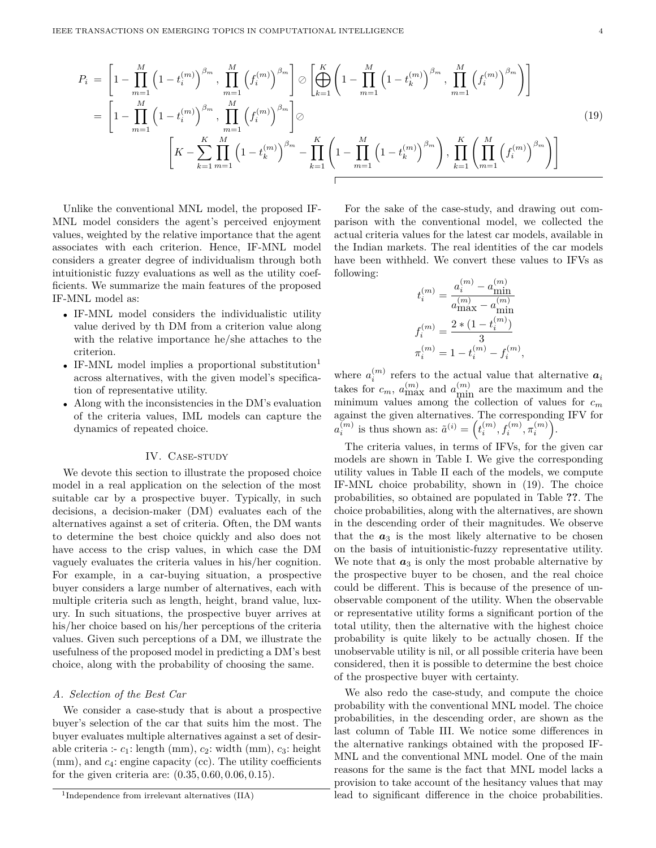$$
P_{i} = \left[1 - \prod_{m=1}^{M} \left(1 - t_{i}^{(m)}\right)^{\beta_{m}}, \prod_{m=1}^{M} \left(f_{i}^{(m)}\right)^{\beta_{m}}\right] \oslash \left[\bigoplus_{k=1}^{K} \left(1 - \prod_{m=1}^{M} \left(1 - t_{k}^{(m)}\right)^{\beta_{m}}, \prod_{m=1}^{M} \left(f_{i}^{(m)}\right)^{\beta_{m}}\right)\right]
$$
  
\n
$$
= \left[1 - \prod_{m=1}^{M} \left(1 - t_{i}^{(m)}\right)^{\beta_{m}}, \prod_{m=1}^{M} \left(f_{i}^{(m)}\right)^{\beta_{m}}\right] \oslash \left[K - \sum_{k=1}^{K} \prod_{m=1}^{M} \left(1 - t_{k}^{(m)}\right)^{\beta_{m}} - \prod_{k=1}^{K} \left(1 - \prod_{m=1}^{M} \left(1 - t_{k}^{(m)}\right)^{\beta_{m}}\right), \prod_{k=1}^{K} \left(\prod_{m=1}^{M} \left(f_{i}^{(m)}\right)^{\beta_{m}}\right)\right]
$$
\n(19)

Unlike the conventional MNL model, the proposed IF-MNL model considers the agent's perceived enjoyment values, weighted by the relative importance that the agent associates with each criterion. Hence, IF-MNL model considers a greater degree of individualism through both intuitionistic fuzzy evaluations as well as the utility coefficients. We summarize the main features of the proposed IF-MNL model as:

- IF-MNL model considers the individualistic utility value derived by th DM from a criterion value along with the relative importance he/she attaches to the criterion.
- IF-MNL model implies a proportional substitution<sup>1</sup> across alternatives, with the given model's specification of representative utility.
- Along with the inconsistencies in the DM's evaluation of the criteria values, IML models can capture the dynamics of repeated choice.

#### IV. CASE-STUDY

We devote this section to illustrate the proposed choice model in a real application on the selection of the most suitable car by a prospective buyer. Typically, in such decisions, a decision-maker (DM) evaluates each of the alternatives against a set of criteria. Often, the DM wants to determine the best choice quickly and also does not have access to the crisp values, in which case the DM vaguely evaluates the criteria values in his/her cognition. For example, in a car-buying situation, a prospective buyer considers a large number of alternatives, each with multiple criteria such as length, height, brand value, luxury. In such situations, the prospective buyer arrives at his/her choice based on his/her perceptions of the criteria values. Given such perceptions of a DM, we illustrate the usefulness of the proposed model in predicting a DM's best choice, along with the probability of choosing the same.

# *A. Selection of the Best Car*

We consider a case-study that is about a prospective buyer's selection of the car that suits him the most. The buyer evaluates multiple alternatives against a set of desirable criteria :-  $c_1$ : length (mm),  $c_2$ : width (mm),  $c_3$ : height (mm), and  $c_4$ : engine capacity (cc). The utility coefficients for the given criteria are: (0*.*35*,* 0*.*60*,* 0*.*06*,* 0*.*15).

For the sake of the case-study, and drawing out comparison with the conventional model, we collected the actual criteria values for the latest car models, available in the Indian markets. The real identities of the car models have been withheld. We convert these values to IFVs as following:

$$
t_i^{(m)} = \frac{a_i^{(m)} - a_{\text{min}}^{(m)}}{a_{\text{max}}^{(m)} - a_{\text{min}}^{(m)}}
$$

$$
f_i^{(m)} = \frac{2 * (1 - t_i^{(m)})}{3}
$$

$$
\pi_i^{(m)} = 1 - t_i^{(m)} - f_i^{(m)},
$$

where  $a_i^{(m)}$  refers to the actual value that alternative  $a_i$ takes for  $c_m$ ,  $a_{\text{max}}^{(m)}$  and  $a_{\text{min}}^{(m)}$  are the maximum and the minimum values among the collection of values for *c<sup>m</sup>* against the given alternatives. The corresponding IFV for  $a_i^{(m)}$  is thus shown as:  $\tilde{a}^{(i)} = (t_i^{(m)}, t_i^{(m)}, \pi_i^{(m)})$ .

The criteria values, in terms of IFVs, for the given car models are shown in Table I. We give the corresponding utility values in Table II each of the models, we compute IF-MNL choice probability, shown in (19). The choice probabilities, so obtained are populated in Table **??**. The choice probabilities, along with the alternatives, are shown in the descending order of their magnitudes. We observe that the  $a_3$  is the most likely alternative to be chosen on the basis of intuitionistic-fuzzy representative utility. We note that  $a_3$  is only the most probable alternative by the prospective buyer to be chosen, and the real choice could be different. This is because of the presence of unobservable component of the utility. When the observable or representative utility forms a significant portion of the total utility, then the alternative with the highest choice probability is quite likely to be actually chosen. If the unobservable utility is nil, or all possible criteria have been considered, then it is possible to determine the best choice of the prospective buyer with certainty.

We also redo the case-study, and compute the choice probability with the conventional MNL model. The choice probabilities, in the descending order, are shown as the last column of Table III. We notice some differences in the alternative rankings obtained with the proposed IF-MNL and the conventional MNL model. One of the main reasons for the same is the fact that MNL model lacks a provision to take account of the hesitancy values that may lead to significant difference in the choice probabilities.

<sup>1</sup> Independence from irrelevant alternatives (IIA)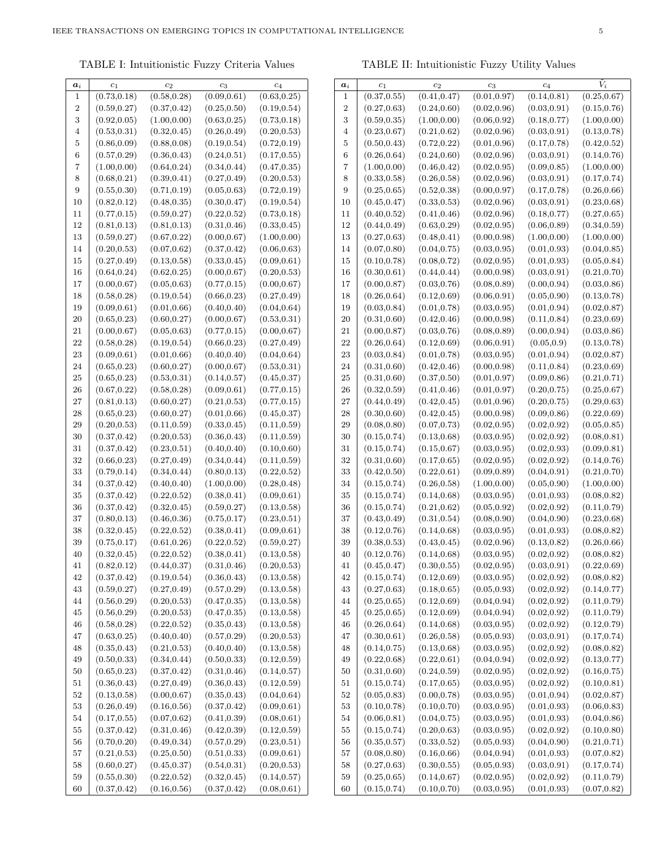TABLE I: Intuitionistic Fuzzy Criteria Values

| $a_i$            | $c_1$        | c <sub>2</sub> | $c_3$        | $\overline{c_4}$ |
|------------------|--------------|----------------|--------------|------------------|
| 1                | (0.73, 0.18) | (0.58, 0.28)   | (0.09, 0.61) | (0.63, 0.25)     |
| 2                | (0.59, 0.27) | (0.37, 0.42)   | (0.25, 0.50) | (0.19, 0.54)     |
| 3                | (0.92, 0.05) | (1.00, 0.00)   | (0.63, 0.25) | (0.73, 0.18)     |
| $\overline{4}$   | (0.53, 0.31) | (0.32, 0.45)   | (0.26, 0.49) | (0.20, 0.53)     |
| 5                | (0.86, 0.09) | (0.88, 0.08)   | (0.19, 0.54) | (0.72, 0.19)     |
| 6                | (0.57, 0.29) | (0.36, 0.43)   | (0.24, 0.51) | (0.17, 0.55)     |
| 7                | (1.00, 0.00) | (0.64, 0.24)   | (0.34, 0.44) | (0.47, 0.35)     |
| 8                | (0.68, 0.21) | (0.39, 0.41)   | (0.27, 0.49) | (0.20, 0.53)     |
| $\boldsymbol{9}$ | (0.55, 0.30) | (0.71, 0.19)   | (0.05, 0.63) | (0.72, 0.19)     |
| 10               | (0.82, 0.12) | (0.48, 0.35)   | (0.30, 0.47) | (0.19, 0.54)     |
| $11\,$           | (0.77, 0.15) | (0.59, 0.27)   | (0.22, 0.52) | (0.73, 0.18)     |
| 12               | (0.81, 0.13) | (0.81, 0.13)   | (0.31, 0.46) | (0.33, 0.45)     |
| 13               | (0.59, 0.27) | (0.67, 0.22)   | (0.00, 0.67) | (1.00, 0.00)     |
| 14               | (0.20, 0.53) | (0.07, 0.62)   | (0.37, 0.42) | (0.06, 0.63)     |
| 15               | (0.27, 0.49) | (0.13, 0.58)   | (0.33, 0.45) | (0.09, 0.61)     |
| 16               | (0.64, 0.24) | (0.62, 0.25)   | (0.00, 0.67) | (0.20, 0.53)     |
| 17               | (0.00, 0.67) | (0.05, 0.63)   | (0.77, 0.15) | (0.00, 0.67)     |
| 18               | (0.58, 0.28) | (0.19, 0.54)   | (0.66, 0.23) | (0.27, 0.49)     |
| 19               | (0.09, 0.61) | (0.01, 0.66)   | (0.40, 0.40) | (0.04, 0.64)     |
| 20               | (0.65, 0.23) | (0.60, 0.27)   | (0.00, 0.67) | (0.53, 0.31)     |
| 21               | (0.00, 0.67) | (0.05, 0.63)   | (0.77, 0.15) | (0.00, 0.67)     |
| 22               | (0.58, 0.28) | (0.19, 0.54)   | (0.66, 0.23) | (0.27, 0.49)     |
| 23               | (0.09, 0.61) | (0.01, 0.66)   | (0.40, 0.40) | (0.04, 0.64)     |
| 24               | (0.65, 0.23) | (0.60, 0.27)   | (0.00, 0.67) | (0.53, 0.31)     |
| 25               | (0.65, 0.23) | (0.53, 0.31)   | (0.14, 0.57) | (0.45, 0.37)     |
| 26               | (0.67, 0.22) | (0.58, 0.28)   | (0.09, 0.61) | (0.77, 0.15)     |
| 27               | (0.81, 0.13) | (0.60, 0.27)   | (0.21, 0.53) | (0.77, 0.15)     |
| 28               | (0.65, 0.23) | (0.60, 0.27)   | (0.01, 0.66) | (0.45, 0.37)     |
| 29               | (0.20, 0.53) | (0.11, 0.59)   | (0.33, 0.45) | (0.11, 0.59)     |
| 30               | (0.37, 0.42) | (0.20, 0.53)   | (0.36, 0.43) | (0.11, 0.59)     |
| 31               | (0.37, 0.42) | (0.23, 0.51)   | (0.40, 0.40) | (0.10, 0.60)     |
| 32               | (0.66, 0.23) | (0.27, 0.49)   | (0.34, 0.44) | (0.11, 0.59)     |
| 33               | (0.79, 0.14) | (0.34, 0.44)   | (0.80, 0.13) | (0.22, 0.52)     |
| 34               | (0.37, 0.42) | (0.40, 0.40)   | (1.00, 0.00) | (0.28, 0.48)     |
| 35               | (0.37, 0.42) | (0.22, 0.52)   | (0.38, 0.41) | (0.09, 0.61)     |
| 36               | (0.37, 0.42) | (0.32, 0.45)   | (0.59, 0.27) | (0.13, 0.58)     |
| 37               | (0.80, 0.13) | (0.46, 0.36)   | (0.75, 0.17) | (0.23, 0.51)     |
| 38               | (0.32, 0.45) | (0.22, 0.52)   | (0.38, 0.41) | (0.09, 0.61)     |
| 39               | (0.75, 0.17) | (0.61, 0.26)   | (0.22, 0.52) | (0.59, 0.27)     |
| 40               | (0.32, 0.45) | (0.22, 0.52)   | (0.38, 0.41) | (0.13, 0.58)     |
| 41               | (0.82, 0.12) | (0.44, 0.37)   | (0.31, 0.46) | (0.20, 0.53)     |
| 42               | (0.37, 0.42) | (0.19, 0.54)   | (0.36, 0.43) | (0.13, 0.58)     |
| 43               | (0.59, 0.27) | (0.27, 0.49)   | (0.57, 0.29) | (0.13, 0.58)     |
| 44               | (0.56, 0.29) | (0.20, 0.53)   | (0.47, 0.35) | (0.13, 0.58)     |
| 45               | (0.56, 0.29) | (0.20, 0.53)   | (0.47, 0.35) | (0.13, 0.58)     |
| 46               | (0.58, 0.28) | (0.22, 0.52)   | (0.35, 0.43) | (0.13, 0.58)     |
| 47               | (0.63, 0.25) | (0.40, 0.40)   | (0.57, 0.29) | (0.20, 0.53)     |
| 48               | (0.35, 0.43) | (0.21, 0.53)   | (0.40, 0.40) | (0.13, 0.58)     |
| 49               | (0.50, 0.33) | (0.34, 0.44)   | (0.50, 0.33) | (0.12, 0.59)     |
| 50               | (0.65, 0.23) | (0.37, 0.42)   | (0.31, 0.46) | (0.14, 0.57)     |
| 51               | (0.36, 0.43) | (0.27, 0.49)   | (0.36, 0.43) | (0.12, 0.59)     |
| 52               | (0.13, 0.58) | (0.00, 0.67)   | (0.35, 0.43) | (0.04, 0.64)     |
| 53               | (0.26, 0.49) | (0.16, 0.56)   | (0.37, 0.42) | (0.09, 0.61)     |
| 54               | (0.17, 0.55) | (0.07, 0.62)   | (0.41, 0.39) | (0.08, 0.61)     |
| 55               | (0.37, 0.42) | (0.31, 0.46)   | (0.42, 0.39) | (0.12, 0.59)     |
| 56               | (0.70, 0.20) | (0.49, 0.34)   | (0.57, 0.29) | (0.23, 0.51)     |
| 57               | (0.21, 0.53) | (0.25, 0.50)   | (0.51, 0.33) | (0.09, 0.61)     |
| 58               | (0.60, 0.27) | (0.45, 0.37)   | (0.54, 0.31) | (0.20, 0.53)     |
| 59               | (0.55, 0.30) | (0.22, 0.52)   | (0.32, 0.45) | (0.14, 0.57)     |
| 60               | (0.37, 0.42) | (0.16, 0.56)   | (0.37, 0.42) | (0.08, 0.61)     |

TABLE II: Intuitionistic Fuzzy Utility Values

| $\boldsymbol{a}_i$ | $c_1$        | $c_2$                        | $c_3$        | c <sub>4</sub> | $\tilde{V}_i$ |
|--------------------|--------------|------------------------------|--------------|----------------|---------------|
| 1                  | (0.37, 0.55) | (0.41, 0.47)                 | (0.01, 0.97) | (0.14, 0.81)   | (0.25, 0.67)  |
| $\overline{2}$     | (0.27, 0.63) | (0.24, 0.60)                 | (0.02, 0.96) | (0.03, 0.91)   | (0.15, 0.76)  |
| 3                  | (0.59, 0.35) | (1.00, 0.00)                 | (0.06, 0.92) | (0.18, 0.77)   | (1.00, 0.00)  |
| 4                  | (0.23, 0.67) | (0.21, 0.62)                 | (0.02, 0.96) | (0.03, 0.91)   | (0.13, 0.78)  |
| 5                  | (0.50, 0.43) | (0.72, 0.22)                 | (0.01, 0.96) | (0.17, 0.78)   | (0.42, 0.52)  |
| $\boldsymbol{6}$   | (0.26, 0.64) | (0.24, 0.60)                 | (0.02, 0.96) | (0.03, 0.91)   | (0.14, 0.76)  |
| 7                  | (1.00, 0.00) | (0.46, 0.42)                 | (0.02, 0.95) | (0.09, 0.85)   | (1.00, 0.00)  |
| 8                  | (0.33, 0.58) | (0.26, 0.58)                 | (0.02, 0.96) | (0.03, 0.91)   | (0.17, 0.74)  |
| 9                  | (0.25, 0.65) | (0.52, 0.38)                 | (0.00, 0.97) | (0.17, 0.78)   | (0.26, 0.66)  |
| 10                 | (0.45, 0.47) | (0.33, 0.53)                 | (0.02, 0.96) | (0.03, 0.91)   | (0.23, 0.68)  |
| $11\,$             | (0.40, 0.52) | (0.41, 0.46)                 | (0.02, 0.96) | (0.18, 0.77)   | (0.27, 0.65)  |
| 12                 | (0.44, 0.49) | (0.63, 0.29)                 | (0.02, 0.95) | (0.06, 0.89)   | (0.34, 0.59)  |
| 13                 | (0.27, 0.63) | (0.48, 0.41)                 | (0.00, 0.98) | (1.00, 0.00)   | (1.00, 0.00)  |
| 14                 | (0.07, 0.80) | (0.04, 0.75)                 | (0.03, 0.95) | (0.01, 0.93)   | (0.04, 0.85)  |
| 15                 | (0.10, 0.78) |                              | (0.02, 0.95) | (0.01, 0.93)   |               |
|                    |              | (0.08, 0.72)                 |              |                | (0.05, 0.84)  |
| 16                 | (0.30, 0.61) | (0.44, 0.44)<br>(0.03, 0.76) | (0.00, 0.98) | (0.03, 0.91)   | (0.21, 0.70)  |
| 17                 | (0.00, 0.87) |                              | (0.08, 0.89) | (0.00, 0.94)   | (0.03, 0.86)  |
| 18                 | (0.26, 0.64) | (0.12, 0.69)                 | (0.06, 0.91) | (0.05, 0.90)   | (0.13, 0.78)  |
| 19                 | (0.03, 0.84) | (0.01, 0.78)                 | (0.03, 0.95) | (0.01, 0.94)   | (0.02, 0.87)  |
| 20                 | (0.31, 0.60) | (0.42, 0.46)                 | (0.00, 0.98) | (0.11, 0.84)   | (0.23, 0.69)  |
| 21                 | (0.00, 0.87) | (0.03, 0.76)                 | (0.08, 0.89) | (0.00, 0.94)   | (0.03, 0.86)  |
| 22                 | (0.26, 0.64) | (0.12, 0.69)                 | (0.06, 0.91) | (0.05, 0.9)    | (0.13, 0.78)  |
| 23                 | (0.03, 0.84) | (0.01, 0.78)                 | (0.03, 0.95) | (0.01, 0.94)   | (0.02, 0.87)  |
| 24                 | (0.31, 0.60) | (0.42, 0.46)                 | (0.00, 0.98) | (0.11, 0.84)   | (0.23, 0.69)  |
| 25                 | (0.31, 0.60) | (0.37, 0.50)                 | (0.01, 0.97) | (0.09, 0.86)   | (0.21, 0.71)  |
| 26                 | (0.32, 0.59) | (0.41, 0.46)                 | (0.01, 0.97) | (0.20, 0.75)   | (0.25, 0.67)  |
| 27                 | (0.44, 0.49) | (0.42, 0.45)                 | (0.01, 0.96) | (0.20, 0.75)   | (0.29, 0.63)  |
| 28                 | (0.30, 0.60) | (0.42, 0.45)                 | (0.00, 0.98) | (0.09, 0.86)   | (0.22, 0.69)  |
| 29                 | (0.08, 0.80) | (0.07, 0.73)                 | (0.02, 0.95) | (0.02, 0.92)   | (0.05, 0.85)  |
| 30                 | (0.15, 0.74) | (0.13, 0.68)                 | (0.03, 0.95) | (0.02, 0.92)   | (0.08, 0.81)  |
| 31                 | (0.15, 0.74) | (0.15, 0.67)                 | (0.03, 0.95) | (0.02, 0.93)   | (0.09, 0.81)  |
| 32                 | (0.31, 0.60) | (0.17, 0.65)                 | (0.02, 0.95) | (0.02, 0.92)   | (0.14, 0.76)  |
| 33                 | (0.42, 0.50) | (0.22, 0.61)                 | (0.09, 0.89) | (0.04, 0.91)   | (0.21, 0.70)  |
| 34                 | (0.15, 0.74) | (0.26, 0.58)                 | (1.00, 0.00) | (0.05, 0.90)   | (1.00, 0.00)  |
| 35                 | (0.15, 0.74) | (0.14, 0.68)                 | (0.03, 0.95) | (0.01, 0.93)   | (0.08, 0.82)  |
| 36                 | (0.15, 0.74) | (0.21, 0.62)                 | (0.05, 0.92) | (0.02, 0.92)   | (0.11, 0.79)  |
| 37                 | (0.43, 0.49) | (0.31, 0.54)                 | (0.08, 0.90) | (0.04, 0.90)   | (0.23, 0.68)  |
| 38                 | (0.12, 0.76) | (0.14, 0.68)                 | (0.03, 0.95) | (0.01, 0.93)   | (0.08, 0.82)  |
| 39                 | (0.38, 0.53) | (0.43, 0.45)                 | (0.02, 0.96) | (0.13, 0.82)   | (0.26, 0.66)  |
| 40                 | (0.12, 0.76) | (0.14, 0.68)                 | (0.03, 0.95) | (0.02, 0.92)   | (0.08, 0.82)  |
| 41                 | (0.45, 0.47) | (0.30, 0.55)                 | (0.02, 0.95) | (0.03, 0.91)   | (0.22, 0.69)  |
| 42                 | (0.15, 0.74) | (0.12, 0.69)                 | (0.03, 0.95) | (0.02, 0.92)   | (0.08, 0.82)  |
| 43                 | (0.27, 0.63) | (0.18, 0.65)                 | (0.05, 0.93) | (0.02, 0.92)   | (0.14, 0.77)  |
| 44                 | (0.25, 0.65) | (0.12, 0.69)                 | (0.04, 0.94) | (0.02, 0.92)   | (0.11, 0.79)  |
| 45                 | (0.25, 0.65) | (0.12, 0.69)                 | (0.04, 0.94) | (0.02, 0.92)   | (0.11, 0.79)  |
| 46                 | (0.26, 0.64) | (0.14, 0.68)                 | (0.03, 0.95) | (0.02, 0.92)   | (0.12, 0.79)  |
| 47                 | (0.30, 0.61) | (0.26, 0.58)                 | (0.05, 0.93) | (0.03, 0.91)   | (0.17, 0.74)  |
| 48                 | (0.14, 0.75) | (0.13, 0.68)                 | (0.03, 0.95) | (0.02, 0.92)   | (0.08, 0.82)  |
| 49                 | (0.22, 0.68) | (0.22, 0.61)                 | (0.04, 0.94) | (0.02, 0.92)   | (0.13, 0.77)  |
| 50                 | (0.31, 0.60) | (0.24, 0.59)                 | (0.02, 0.95) | (0.02, 0.92)   | (0.16, 0.75)  |
| 51                 | (0.15, 0.74) | (0.17, 0.65)                 | (0.03, 0.95) | (0.02, 0.92)   | (0.10, 0.81)  |
| 52                 | (0.05, 0.83) | (0.00, 0.78)                 | (0.03, 0.95) | (0.01, 0.94)   | (0.02, 0.87)  |
| 53                 | (0.10, 0.78) | (0.10, 0.70)                 | (0.03, 0.95) | (0.01, 0.93)   | (0.06, 0.83)  |
| 54                 | (0.06, 0.81) | (0.04, 0.75)                 | (0.03, 0.95) | (0.01, 0.93)   | (0.04, 0.86)  |
| 55                 | (0.15, 0.74) | (0.20, 0.63)                 | (0.03, 0.95) | (0.02, 0.92)   | (0.10, 0.80)  |
| 56                 | (0.35, 0.57) | (0.33, 0.52)                 | (0.05, 0.93) | (0.04, 0.90)   | (0.21, 0.71)  |
| 57                 | (0.08, 0.80) | (0.16, 0.66)                 | (0.04, 0.94) | (0.01, 0.93)   | (0.07, 0.82)  |
| 58                 | (0.27, 0.63) | (0.30, 0.55)                 | (0.05, 0.93) | (0.03, 0.91)   | (0.17, 0.74)  |
| 59                 | (0.25, 0.65) | (0.14, 0.67)                 | (0.02, 0.95) | (0.02, 0.92)   | (0.11, 0.79)  |
| 60                 | (0.15, 0.74) | (0.10, 0.70)                 | (0.03, 0.95) | (0.01, 0.93)   | (0.07, 0.82)  |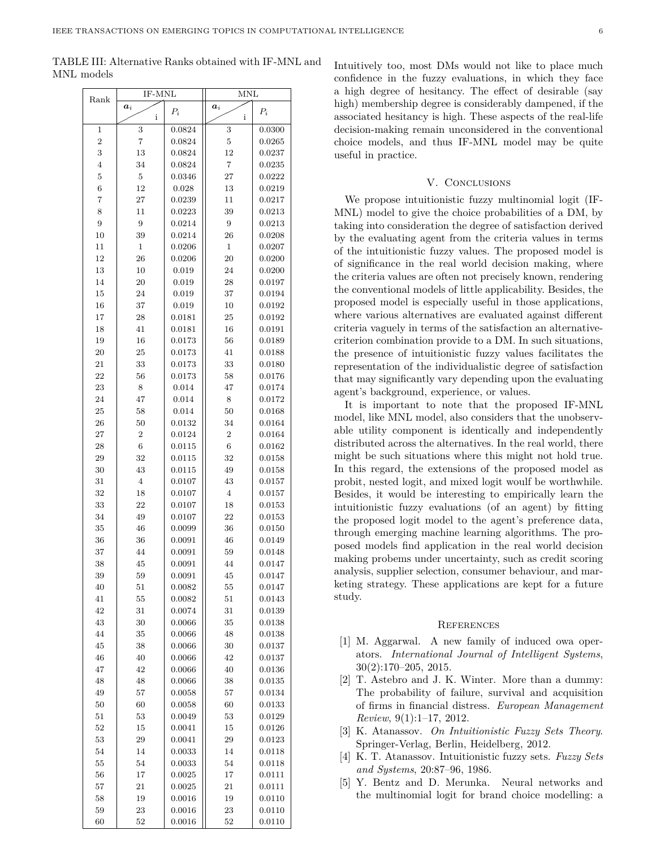TABLE III: Alternative Ranks obtained with IF-MNL and MNL models

| Rank           | IF-MNL          |        | MNL             |        |
|----------------|-----------------|--------|-----------------|--------|
|                | $\bm{a}_i$<br>i | $P_i$  | $\bm{a}_i$<br>i | $P_i$  |
| 1              | 3               | 0.0824 | 3               | 0.0300 |
| $\overline{2}$ | 7               | 0.0824 | $\bf 5$         | 0.0265 |
| 3              | 13              | 0.0824 | 12              | 0.0237 |
| $\overline{4}$ | 34              | 0.0824 | $\overline{7}$  | 0.0235 |
| $\overline{5}$ | 5               | 0.0346 | 27              | 0.0222 |
| $\,6$          | 12              | 0.028  | 13              | 0.0219 |
| 7              | 27              | 0.0239 | 11              | 0.0217 |
| 8              | 11              | 0.0223 | 39              | 0.0213 |
| 9              | 9               | 0.0214 | 9               | 0.0213 |
| 10             | 39              | 0.0214 | 26              | 0.0208 |
| 11             | 1               | 0.0206 | 1               | 0.0207 |
| 12             | 26              | 0.0206 | 20              | 0.0200 |
| 13             | 10              | 0.019  | 24              | 0.0200 |
| 14             | 20              | 0.019  | 28              | 0.0197 |
| 15             | 24              | 0.019  | 37              | 0.0194 |
| 16             | 37              | 0.019  | 10              | 0.0192 |
| 17             | 28              | 0.0181 | 25              | 0.0192 |
| 18             | 41              | 0.0181 | 16              | 0.0191 |
| 19             | 16              | 0.0173 | 56              | 0.0189 |
| 20             | 25              | 0.0173 | 41              | 0.0188 |
| 21             | 33              | 0.0173 | 33              | 0.0180 |
| 22             | 56              | 0.0173 | 58              | 0.0176 |
| 23             | 8               | 0.014  | 47              | 0.0174 |
| 24             | 47              | 0.014  | 8               | 0.0172 |
| 25             | 58              | 0.014  | 50              | 0.0168 |
| 26             | 50              | 0.0132 | 34              | 0.0164 |
| 27             | 2               | 0.0124 | $\overline{2}$  | 0.0164 |
| 28             | 6               | 0.0115 | $6\phantom{.}6$ | 0.0162 |
| 29             | 32              | 0.0115 | 32              | 0.0158 |
| 30             | 43              | 0.0115 | 49              | 0.0158 |
| 31             | $\overline{4}$  | 0.0107 | 43              | 0.0157 |
| 32             | 18              | 0.0107 | $\overline{4}$  | 0.0157 |
| 33             | 22              | 0.0107 | 18              | 0.0153 |
| 34             | 49              | 0.0107 | 22              | 0.0153 |
| 35             | 46              | 0.0099 | 36              | 0.0150 |
| 36             | 36              | 0.0091 | 46              | 0.0149 |
| 37             | 44              | 0.0091 | 59              | 0.0148 |
| 38             | 45              | 0.0091 | 44              | 0.0147 |
| 39             | 59              | 0.0091 | 45              | 0.0147 |
| 40             | $^{51}$         | 0.0082 | 55              | 0.0147 |
| 41             | 55              | 0.0082 | $^{51}$         | 0.0143 |
| 42             | 31              | 0.0074 | 31              | 0.0139 |
| 43             | 30              | 0.0066 | 35              | 0.0138 |
| 44             | 35              | 0.0066 | 48              | 0.0138 |
| 45             | 38              | 0.0066 | 30              | 0.0137 |
| 46             | 40              | 0.0066 | 42              | 0.0137 |
| 47             | 42              | 0.0066 | 40              | 0.0136 |
| 48             | 48              | 0.0066 | 38              | 0.0135 |
| 49             | 57              | 0.0058 | 57              | 0.0134 |
| 50             | 60              | 0.0058 | 60              | 0.0133 |
| $^{51}$        | 53              | 0.0049 | 53              | 0.0129 |
| 52             | 15              | 0.0041 | 15              | 0.0126 |
| 53             | 29              | 0.0041 | 29              | 0.0123 |
| 54             | 14              | 0.0033 | 14              | 0.0118 |
| 55             | 54              | 0.0033 | 54              | 0.0118 |
| 56             | 17              | 0.0025 | 17              | 0.0111 |
| 57             | 21              | 0.0025 | 21              | 0.0111 |
| 58             | 19              | 0.0016 | 19              | 0.0110 |
| 59             | 23              | 0.0016 | 23              | 0.0110 |
| 60             | 52              | 0.0016 | 52              | 0.0110 |

Intuitively too, most DMs would not like to place much confidence in the fuzzy evaluations, in which they face a high degree of hesitancy. The effect of desirable (say high) membership degree is considerably dampened, if the associated hesitancy is high. These aspects of the real-life decision-making remain unconsidered in the conventional choice models, and thus IF-MNL model may be quite useful in practice.

## V. CONCLUSIONS

We propose intuitionistic fuzzy multinomial logit (IF-MNL) model to give the choice probabilities of a DM, by taking into consideration the degree of satisfaction derived by the evaluating agent from the criteria values in terms of the intuitionistic fuzzy values. The proposed model is of significance in the real world decision making, where the criteria values are often not precisely known, rendering the conventional models of little applicability. Besides, the proposed model is especially useful in those applications, where various alternatives are evaluated against different criteria vaguely in terms of the satisfaction an alternativecriterion combination provide to a DM. In such situations, the presence of intuitionistic fuzzy values facilitates the representation of the individualistic degree of satisfaction that may significantly vary depending upon the evaluating agent's background, experience, or values.

It is important to note that the proposed IF-MNL model, like MNL model, also considers that the unobservable utility component is identically and independently distributed across the alternatives. In the real world, there might be such situations where this might not hold true. In this regard, the extensions of the proposed model as probit, nested logit, and mixed logit woulf be worthwhile. Besides, it would be interesting to empirically learn the intuitionistic fuzzy evaluations (of an agent) by fitting the proposed logit model to the agent's preference data, through emerging machine learning algorithms. The proposed models find application in the real world decision making probems under uncertainty, such as credit scoring analysis, supplier selection, consumer behaviour, and marketing strategy. These applications are kept for a future study.

## **REFERENCES**

- [1] M. Aggarwal. A new family of induced owa operators. *International Journal of Intelligent Systems*, 30(2):170–205, 2015.
- [2] T. Astebro and J. K. Winter. More than a dummy: The probability of failure, survival and acquisition of firms in financial distress. *European Management Review*, 9(1):1–17, 2012.
- [3] K. Atanassov. *On Intuitionistic Fuzzy Sets Theory*. Springer-Verlag, Berlin, Heidelberg, 2012.
- [4] K. T. Atanassov. Intuitionistic fuzzy sets. *Fuzzy Sets and Systems*, 20:87–96, 1986.
- [5] Y. Bentz and D. Merunka. Neural networks and the multinomial logit for brand choice modelling: a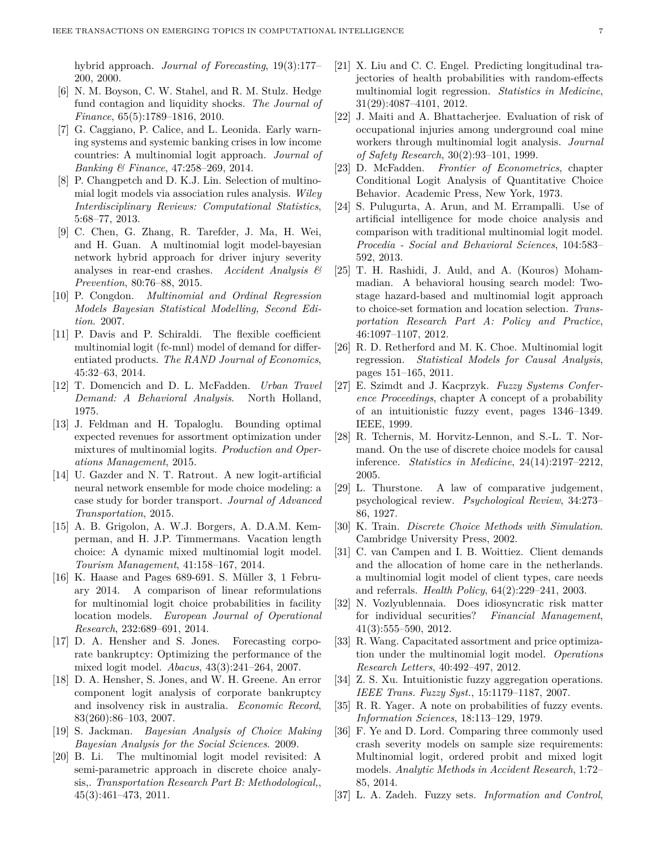hybrid approach. *Journal of Forecasting*, 19(3):177– 200, 2000.

- [6] N. M. Boyson, C. W. Stahel, and R. M. Stulz. Hedge fund contagion and liquidity shocks. *The Journal of Finance*, 65(5):1789–1816, 2010.
- [7] G. Caggiano, P. Calice, and L. Leonida. Early warning systems and systemic banking crises in low income countries: A multinomial logit approach. *Journal of Banking & Finance*, 47:258–269, 2014.
- [8] P. Changpetch and D. K.J. Lin. Selection of multinomial logit models via association rules analysis. *Wiley Interdisciplinary Reviews: Computational Statistics*, 5:68–77, 2013.
- [9] C. Chen, G. Zhang, R. Tarefder, J. Ma, H. Wei, and H. Guan. A multinomial logit model-bayesian network hybrid approach for driver injury severity analyses in rear-end crashes. *Accident Analysis & Prevention*, 80:76–88, 2015.
- [10] P. Congdon. *Multinomial and Ordinal Regression Models Bayesian Statistical Modelling, Second Edition*. 2007.
- [11] P. Davis and P. Schiraldi. The flexible coefficient multinomial logit (fc-mnl) model of demand for differentiated products. *The RAND Journal of Economics*, 45:32–63, 2014.
- [12] T. Domencich and D. L. McFadden. *Urban Travel Demand: A Behavioral Analysis*. North Holland, 1975.
- [13] J. Feldman and H. Topaloglu. Bounding optimal expected revenues for assortment optimization under mixtures of multinomial logits. *Production and Operations Management*, 2015.
- [14] U. Gazder and N. T. Ratrout. A new logit-artificial neural network ensemble for mode choice modeling: a case study for border transport. *Journal of Advanced Transportation*, 2015.
- [15] A. B. Grigolon, A. W.J. Borgers, A. D.A.M. Kemperman, and H. J.P. Timmermans. Vacation length choice: A dynamic mixed multinomial logit model. *Tourism Management*, 41:158–167, 2014.
- [16] K. Haase and Pages 689-691. S. Müller 3, 1 February 2014. A comparison of linear reformulations for multinomial logit choice probabilities in facility location models. *European Journal of Operational Research*, 232:689–691, 2014.
- [17] D. A. Hensher and S. Jones. Forecasting corporate bankruptcy: Optimizing the performance of the mixed logit model. *Abacus*, 43(3):241–264, 2007.
- [18] D. A. Hensher, S. Jones, and W. H. Greene. An error component logit analysis of corporate bankruptcy and insolvency risk in australia. *Economic Record*, 83(260):86–103, 2007.
- [19] S. Jackman. *Bayesian Analysis of Choice Making Bayesian Analysis for the Social Sciences*. 2009.
- [20] B. Li. The multinomial logit model revisited: A semi-parametric approach in discrete choice analysis,. *Transportation Research Part B: Methodological,*, 45(3):461–473, 2011.
- [21] X. Liu and C. C. Engel. Predicting longitudinal trajectories of health probabilities with random-effects multinomial logit regression. *Statistics in Medicine*, 31(29):4087–4101, 2012.
- [22] J. Maiti and A. Bhattacherjee. Evaluation of risk of occupational injuries among underground coal mine workers through multinomial logit analysis. *Journal of Safety Research*, 30(2):93–101, 1999.
- [23] D. McFadden. *Frontier of Econometrics*, chapter Conditional Logit Analysis of Quantitative Choice Behavior. Academic Press, New York, 1973.
- [24] S. Pulugurta, A. Arun, and M. Errampalli. Use of artificial intelligence for mode choice analysis and comparison with traditional multinomial logit model. *Procedia - Social and Behavioral Sciences*, 104:583– 592, 2013.
- [25] T. H. Rashidi, J. Auld, and A. (Kouros) Mohammadian. A behavioral housing search model: Twostage hazard-based and multinomial logit approach to choice-set formation and location selection. *Transportation Research Part A: Policy and Practice*, 46:1097–1107, 2012.
- [26] R. D. Retherford and M. K. Choe. Multinomial logit regression. *Statistical Models for Causal Analysis*, pages 151–165, 2011.
- [27] E. Szimdt and J. Kacprzyk. *Fuzzy Systems Conference Proceedings*, chapter A concept of a probability of an intuitionistic fuzzy event, pages 1346–1349. IEEE, 1999.
- [28] R. Tchernis, M. Horvitz-Lennon, and S.-L. T. Normand. On the use of discrete choice models for causal inference. *Statistics in Medicine*, 24(14):2197–2212, 2005.
- [29] L. Thurstone. A law of comparative judgement, psychological review. *Psychological Review*, 34:273– 86, 1927.
- [30] K. Train. *Discrete Choice Methods with Simulation*. Cambridge University Press, 2002.
- [31] C. van Campen and I. B. Woittiez. Client demands and the allocation of home care in the netherlands. a multinomial logit model of client types, care needs and referrals. *Health Policy*, 64(2):229–241, 2003.
- [32] N. Vozlyublennaia. Does idiosyncratic risk matter for individual securities? *Financial Management*, 41(3):555–590, 2012.
- [33] R. Wang. Capacitated assortment and price optimization under the multinomial logit model. *Operations Research Letters*, 40:492–497, 2012.
- [34] Z. S. Xu. Intuitionistic fuzzy aggregation operations. *IEEE Trans. Fuzzy Syst.*, 15:1179–1187, 2007.
- [35] R. R. Yager. A note on probabilities of fuzzy events. *Information Sciences*, 18:113–129, 1979.
- [36] F. Ye and D. Lord. Comparing three commonly used crash severity models on sample size requirements: Multinomial logit, ordered probit and mixed logit models. *Analytic Methods in Accident Research*, 1:72– 85, 2014.
- [37] L. A. Zadeh. Fuzzy sets. *Information and Control*,